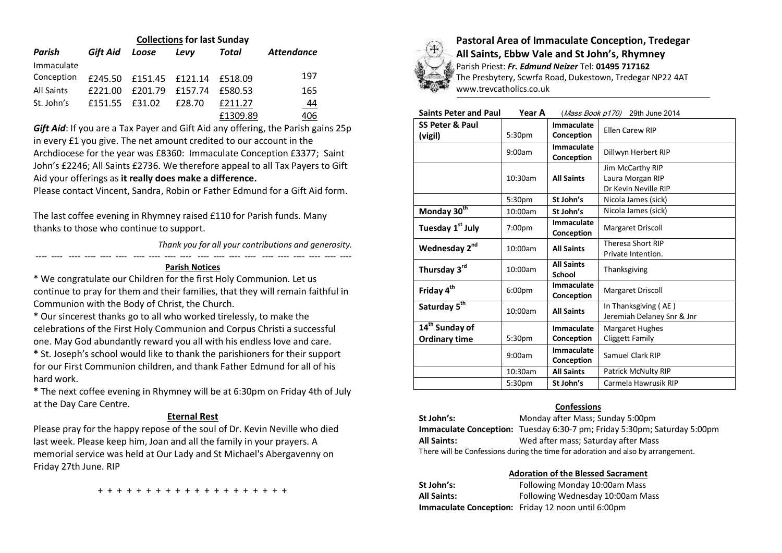|                   | <b>Collections for last Sunday</b> |                 |         |          |                   |
|-------------------|------------------------------------|-----------------|---------|----------|-------------------|
| Parish            | Gift Aid                           | Loose           | Levy    | Total    | <b>Attendance</b> |
| Immaculate        |                                    |                 |         |          |                   |
| Conception        | £245.50                            | £151.45 £121.14 |         | £518.09  | 197               |
| <b>All Saints</b> | £221.00                            | £201.79         | f157.74 | £580.53  | 165               |
| St. John's        | £151.55                            | F31.02          | £28.70  | £211.27  | <u>44</u>         |
|                   |                                    |                 |         | £1309.89 | 406               |

*Gift Aid*: If you are a Tax Payer and Gift Aid any offering, the Parish gains 25p in every £1 you give. The net amount credited to our account in the Archdiocese for the year was £8360: Immaculate Conception £3377; Saint John's £2246; All Saints £2736. We therefore appeal to all Tax Payers to Gift Aid your offerings as **it really does make a difference.**

Please contact Vincent, Sandra, Robin or Father Edmund for a Gift Aid form.

The last coffee evening in Rhymney raised £110 for Parish funds. Many thanks to those who continue to support.

*Thank you for all your contributions and generosity.*

---- ---- ---- ---- ---- ---- ---- ---- ---- ---- ---- ---- ---- ---- ---- ---- ---- ---- ---- ----

### **Parish Notices**

\* We congratulate our Children for the first Holy Communion. Let us continue to pray for them and their families, that they will remain faithful in Communion with the Body of Christ, the Church.

\* Our sincerest thanks go to all who worked tirelessly, to make the celebrations of the First Holy Communion and Corpus Christi a successful one. May God abundantly reward you all with his endless love and care.

**\*** St. Joseph's school would like to thank the parishioners for their support for our First Communion children, and thank Father Edmund for all of his hard work.

**\*** The next coffee evening in Rhymney will be at 6:30pm on Friday 4th of July at the Day Care Centre.

# **Eternal Rest**

Please pray for the happy repose of the soul of Dr. Kevin Neville who died last week. Please keep him, Joan and all the family in your prayers. A memorial service was held at Our Lady and St Michael's Abergavenny on Friday 27th June. RIP



**Pastoral Area of Immaculate Conception, Tredegar All Saints, Ebbw Vale and St John's, Rhymney** Parish Priest: *Fr. Edmund Neizer* Tel: **01495 717162** The Presbytery, Scwrfa Road, Dukestown, Tredegar NP22 4AT

www.trevcatholics.co.uk

| Saints Peter and Paul | Year A | ( <i>Mass Book p170</i> ) 29th June 2014 |  |
|-----------------------|--------|------------------------------------------|--|
|-----------------------|--------|------------------------------------------|--|

| <b>SS Peter &amp; Paul</b><br>(vigil)              | 5:30 <sub>pm</sub> | Immaculate<br>Conception           | <b>Ellen Carew RIP</b>                                       |
|----------------------------------------------------|--------------------|------------------------------------|--------------------------------------------------------------|
|                                                    | 9:00am             | <b>Immaculate</b><br>Conception    | Dillwyn Herbert RIP                                          |
|                                                    | $10:30$ am         | <b>All Saints</b>                  | Jim McCarthy RIP<br>Laura Morgan RIP<br>Dr Kevin Neville RIP |
|                                                    | 5:30pm             | St John's                          | Nicola James (sick)                                          |
| Monday 30 <sup>th</sup>                            | 10:00am            | St John's                          | Nicola James (sick)                                          |
| Tuesday 1 <sup>st</sup> July                       | 7:00pm             | Immaculate<br>Conception           | <b>Margaret Driscoll</b>                                     |
| Wednesday 2nd                                      | 10:00am            | <b>All Saints</b>                  | <b>Theresa Short RIP</b><br>Private Intention.               |
| Thursday 3rd                                       | 10:00am            | <b>All Saints</b><br><b>School</b> | Thanksgiving                                                 |
| Friday 4 <sup>th</sup>                             | 6:00 <sub>pm</sub> | Immaculate<br>Conception           | <b>Margaret Driscoll</b>                                     |
| Saturday 5 <sup>th</sup>                           | 10:00am            | <b>All Saints</b>                  | In Thanksgiving (AE)<br>Jeremiah Delaney Snr & Jnr           |
| 14 <sup>th</sup> Sunday of<br><b>Ordinary time</b> | 5:30 <sub>pm</sub> | Immaculate<br>Conception           | <b>Margaret Hughes</b><br>Cliggett Family                    |
|                                                    | 9:00am             | <b>Immaculate</b><br>Conception    | Samuel Clark RIP                                             |
|                                                    | 10:30am            | <b>All Saints</b>                  | Patrick McNulty RIP                                          |
|                                                    | 5:30pm             | St John's                          | Carmela Hawrusik RIP                                         |

## **Confessions**

**St John's:** Monday after Mass; Sunday 5:00pm **Immaculate Conception:** Tuesday 6:30-7 pm; Friday 5:30pm; Saturday 5:00pm **All Saints:** Wed after mass; Saturday after Mass There will be Confessions during the time for adoration and also by arrangement.

## **Adoration of the Blessed Sacrament**

| St John's:         | Following Monday 10:00am Mass                             |
|--------------------|-----------------------------------------------------------|
| <b>All Saints:</b> | Following Wednesday 10:00am Mass                          |
|                    | <b>Immaculate Conception:</b> Friday 12 noon until 6:00pm |